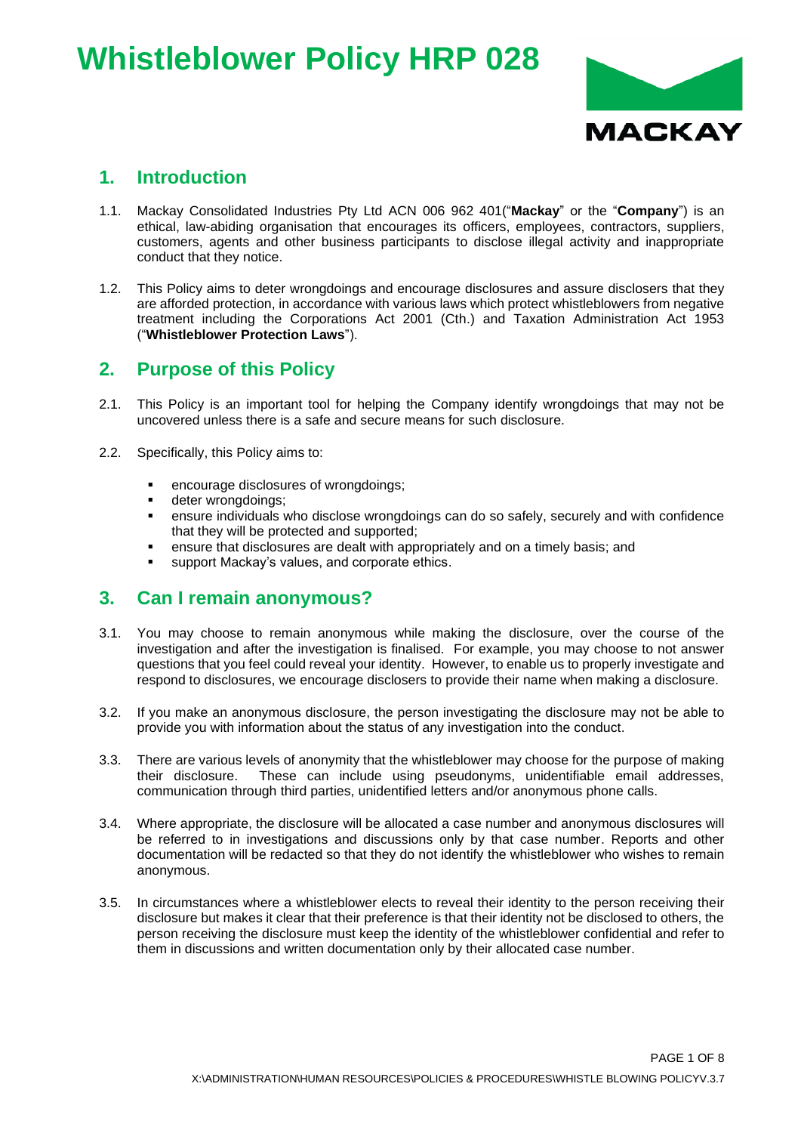# **Whistleblower Policy HRP 028**



### **1. Introduction**

- 1.1. Mackay Consolidated Industries Pty Ltd ACN 006 962 401("**Mackay**" or the "**Company**") is an ethical, law-abiding organisation that encourages its officers, employees, contractors, suppliers, customers, agents and other business participants to disclose illegal activity and inappropriate conduct that they notice.
- 1.2. This Policy aims to deter wrongdoings and encourage disclosures and assure disclosers that they are afforded protection, in accordance with various laws which protect whistleblowers from negative treatment including the Corporations Act 2001 (Cth.) and Taxation Administration Act 1953 ("**Whistleblower Protection Laws**").

### **2. Purpose of this Policy**

- 2.1. This Policy is an important tool for helping the Company identify wrongdoings that may not be uncovered unless there is a safe and secure means for such disclosure.
- 2.2. Specifically, this Policy aims to:
	- encourage disclosures of wrongdoings;
	- deter wrongdoings;
	- ensure individuals who disclose wrongdoings can do so safely, securely and with confidence that they will be protected and supported;
	- ensure that disclosures are dealt with appropriately and on a timely basis; and
	- support Mackay's values, and corporate ethics.

#### **3. Can I remain anonymous?**

- 3.1. You may choose to remain anonymous while making the disclosure, over the course of the investigation and after the investigation is finalised. For example, you may choose to not answer questions that you feel could reveal your identity. However, to enable us to properly investigate and respond to disclosures, we encourage disclosers to provide their name when making a disclosure.
- 3.2. If you make an anonymous disclosure, the person investigating the disclosure may not be able to provide you with information about the status of any investigation into the conduct.
- 3.3. There are various levels of anonymity that the whistleblower may choose for the purpose of making their disclosure. These can include using pseudonyms, unidentifiable email addresses, communication through third parties, unidentified letters and/or anonymous phone calls.
- 3.4. Where appropriate, the disclosure will be allocated a case number and anonymous disclosures will be referred to in investigations and discussions only by that case number. Reports and other documentation will be redacted so that they do not identify the whistleblower who wishes to remain anonymous.
- 3.5. In circumstances where a whistleblower elects to reveal their identity to the person receiving their disclosure but makes it clear that their preference is that their identity not be disclosed to others, the person receiving the disclosure must keep the identity of the whistleblower confidential and refer to them in discussions and written documentation only by their allocated case number.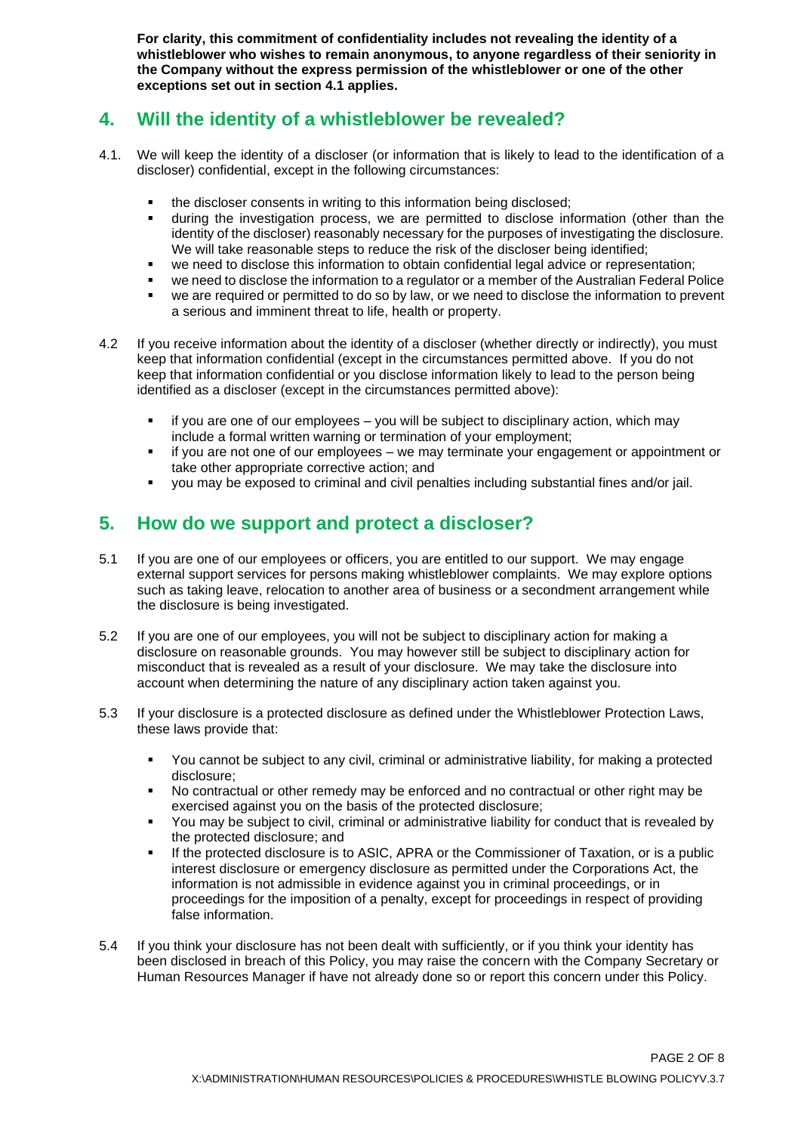**For clarity, this commitment of confidentiality includes not revealing the identity of a whistleblower who wishes to remain anonymous, to anyone regardless of their seniority in the Company without the express permission of the whistleblower or one of the other exceptions set out in section 4.1 applies.**

#### **4. Will the identity of a whistleblower be revealed?**

- 4.1. We will keep the identity of a discloser (or information that is likely to lead to the identification of a discloser) confidential, except in the following circumstances:
	- the discloser consents in writing to this information being disclosed;
	- during the investigation process, we are permitted to disclose information (other than the identity of the discloser) reasonably necessary for the purposes of investigating the disclosure. We will take reasonable steps to reduce the risk of the discloser being identified:
	- we need to disclose this information to obtain confidential legal advice or representation;
	- we need to disclose the information to a regulator or a member of the Australian Federal Police
	- we are required or permitted to do so by law, or we need to disclose the information to prevent a serious and imminent threat to life, health or property.
- 4.2 If you receive information about the identity of a discloser (whether directly or indirectly), you must keep that information confidential (except in the circumstances permitted above. If you do not keep that information confidential or you disclose information likely to lead to the person being identified as a discloser (except in the circumstances permitted above):
	- if you are one of our employees you will be subject to disciplinary action, which may include a formal written warning or termination of your employment;
	- if you are not one of our employees we may terminate your engagement or appointment or take other appropriate corrective action; and
	- you may be exposed to criminal and civil penalties including substantial fines and/or jail.

#### **5. How do we support and protect a discloser?**

- 5.1 If you are one of our employees or officers, you are entitled to our support. We may engage external support services for persons making whistleblower complaints. We may explore options such as taking leave, relocation to another area of business or a secondment arrangement while the disclosure is being investigated.
- 5.2 If you are one of our employees, you will not be subject to disciplinary action for making a disclosure on reasonable grounds. You may however still be subject to disciplinary action for misconduct that is revealed as a result of your disclosure. We may take the disclosure into account when determining the nature of any disciplinary action taken against you.
- 5.3 If your disclosure is a protected disclosure as defined under the Whistleblower Protection Laws, these laws provide that:
	- You cannot be subject to any civil, criminal or administrative liability, for making a protected disclosure;
	- No contractual or other remedy may be enforced and no contractual or other right may be exercised against you on the basis of the protected disclosure;
	- You may be subject to civil, criminal or administrative liability for conduct that is revealed by the protected disclosure; and
	- If the protected disclosure is to ASIC, APRA or the Commissioner of Taxation, or is a public interest disclosure or emergency disclosure as permitted under the Corporations Act, the information is not admissible in evidence against you in criminal proceedings, or in proceedings for the imposition of a penalty, except for proceedings in respect of providing false information.
- 5.4 If you think your disclosure has not been dealt with sufficiently, or if you think your identity has been disclosed in breach of this Policy, you may raise the concern with the Company Secretary or Human Resources Manager if have not already done so or report this concern under this Policy.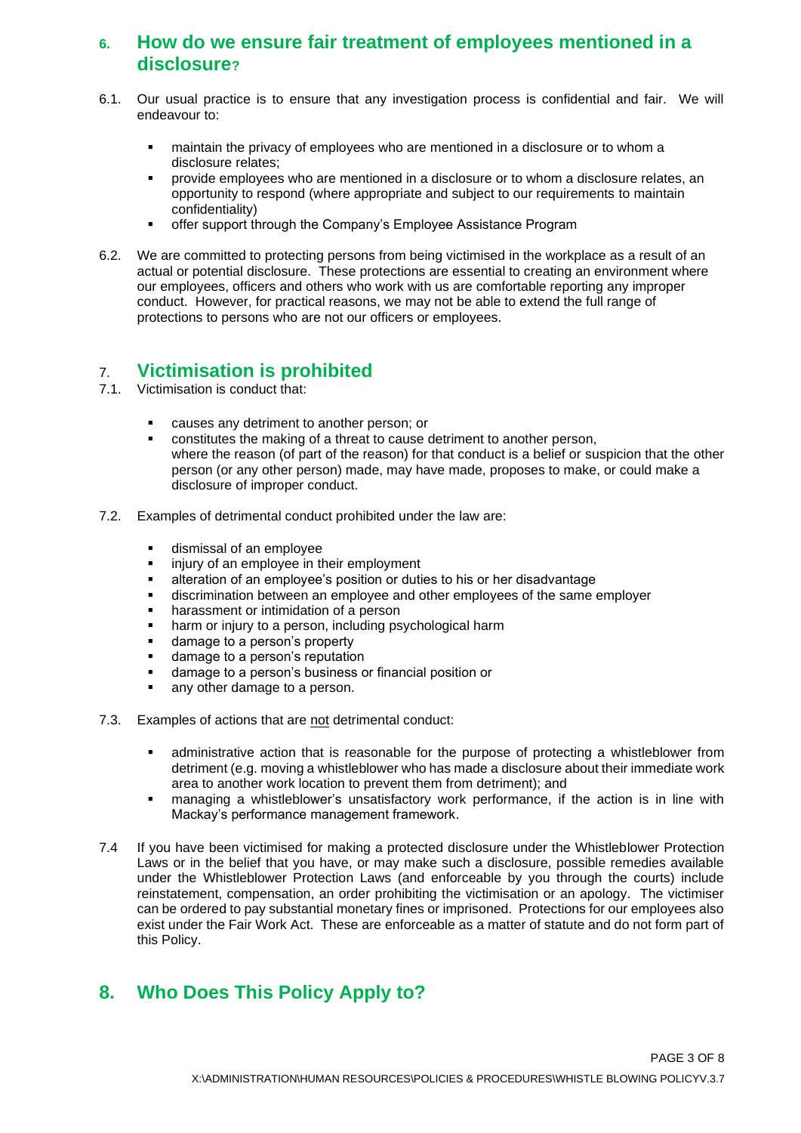#### **6. How do we ensure fair treatment of employees mentioned in a disclosure?**

- 6.1. Our usual practice is to ensure that any investigation process is confidential and fair. We will endeavour to:
	- maintain the privacy of employees who are mentioned in a disclosure or to whom a disclosure relates;
	- provide employees who are mentioned in a disclosure or to whom a disclosure relates, an opportunity to respond (where appropriate and subject to our requirements to maintain confidentiality)
	- **■** offer support through the Company's Employee Assistance Program
- 6.2. We are committed to protecting persons from being victimised in the workplace as a result of an actual or potential disclosure. These protections are essential to creating an environment where our employees, officers and others who work with us are comfortable reporting any improper conduct. However, for practical reasons, we may not be able to extend the full range of protections to persons who are not our officers or employees.

# 7. **Victimisation is prohibited**

- Victimisation is conduct that:
	- causes any detriment to another person; or
	- constitutes the making of a threat to cause detriment to another person, where the reason (of part of the reason) for that conduct is a belief or suspicion that the other person (or any other person) made, may have made, proposes to make, or could make a disclosure of improper conduct.
- 7.2. Examples of detrimental conduct prohibited under the law are:
	- dismissal of an employee
	- **■** injury of an employee in their employment
	- alteration of an employee's position or duties to his or her disadvantage
	- discrimination between an employee and other employees of the same employer
	- harassment or intimidation of a person
	- harm or injury to a person, including psychological harm
	- damage to a person's property
	- damage to a person's reputation
	- damage to a person's business or financial position or
	- any other damage to a person.
- 7.3. Examples of actions that are not detrimental conduct:
	- administrative action that is reasonable for the purpose of protecting a whistleblower from detriment (e.g. moving a whistleblower who has made a disclosure about their immediate work area to another work location to prevent them from detriment); and
	- managing a whistleblower's unsatisfactory work performance, if the action is in line with Mackay's performance management framework.
- 7.4 If you have been victimised for making a protected disclosure under the Whistleblower Protection Laws or in the belief that you have, or may make such a disclosure, possible remedies available under the Whistleblower Protection Laws (and enforceable by you through the courts) include reinstatement, compensation, an order prohibiting the victimisation or an apology. The victimiser can be ordered to pay substantial monetary fines or imprisoned. Protections for our employees also exist under the Fair Work Act. These are enforceable as a matter of statute and do not form part of this Policy.

# **8. Who Does This Policy Apply to?**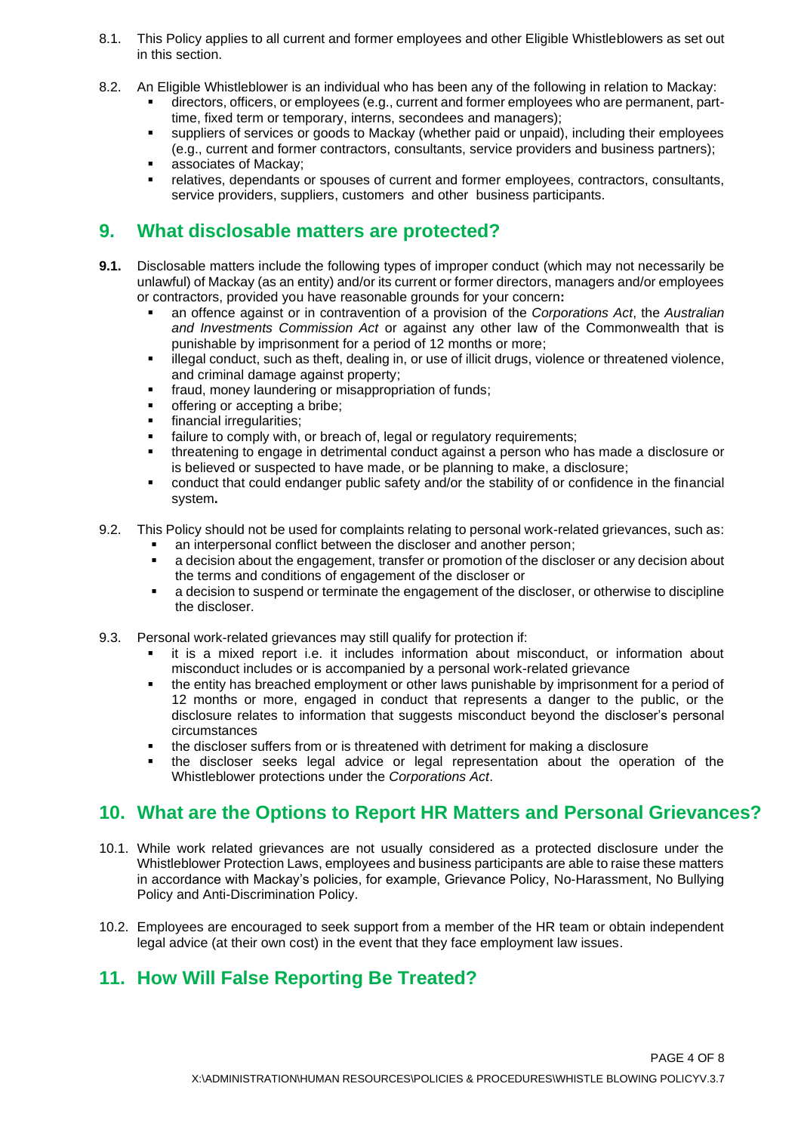- 8.1. This Policy applies to all current and former employees and other Eligible Whistleblowers as set out in this section.
- 8.2. An Eligible Whistleblower is an individual who has been any of the following in relation to Mackay:
	- directors, officers, or employees (e.g., current and former employees who are permanent, parttime, fixed term or temporary, interns, secondees and managers);
	- suppliers of services or goods to Mackay (whether paid or unpaid), including their employees (e.g., current and former contractors, consultants, service providers and business partners);
	- associates of Mackay;
	- relatives, dependants or spouses of current and former employees, contractors, consultants, service providers, suppliers, customers and other business participants.

# **9. What disclosable matters are protected?**

- **9.1.** Disclosable matters include the following types of improper conduct (which may not necessarily be unlawful) of Mackay (as an entity) and/or its current or former directors, managers and/or employees or contractors, provided you have reasonable grounds for your concern**:**
	- an offence against or in contravention of a provision of the *Corporations Act*, the *Australian and Investments Commission Act* or against any other law of the Commonwealth that is punishable by imprisonment for a period of 12 months or more;
	- illegal conduct, such as theft, dealing in, or use of illicit drugs, violence or threatened violence, and criminal damage against property;
	- fraud, money laundering or misappropriation of funds;
	- offering or accepting a bribe;
	- financial irregularities;
	- failure to comply with, or breach of, legal or regulatory requirements;
	- threatening to engage in detrimental conduct against a person who has made a disclosure or is believed or suspected to have made, or be planning to make, a disclosure;
	- conduct that could endanger public safety and/or the stability of or confidence in the financial system**.**
- 9.2. This Policy should not be used for complaints relating to personal work-related grievances, such as:
	- an interpersonal conflict between the discloser and another person;
	- a decision about the engagement, transfer or promotion of the discloser or any decision about the terms and conditions of engagement of the discloser or
	- a decision to suspend or terminate the engagement of the discloser, or otherwise to discipline the discloser.
- 9.3. Personal work-related grievances may still qualify for protection if:
	- it is a mixed report i.e. it includes information about misconduct, or information about misconduct includes or is accompanied by a personal work-related grievance
	- the entity has breached employment or other laws punishable by imprisonment for a period of 12 months or more, engaged in conduct that represents a danger to the public, or the disclosure relates to information that suggests misconduct beyond the discloser's personal circumstances
	- the discloser suffers from or is threatened with detriment for making a disclosure
	- the discloser seeks legal advice or legal representation about the operation of the Whistleblower protections under the *Corporations Act*.

# **10. What are the Options to Report HR Matters and Personal Grievances?**

- 10.1. While work related grievances are not usually considered as a protected disclosure under the Whistleblower Protection Laws, employees and business participants are able to raise these matters in accordance with Mackay's policies, for example, Grievance Policy, No-Harassment, No Bullying Policy and Anti-Discrimination Policy.
- 10.2. Employees are encouraged to seek support from a member of the HR team or obtain independent legal advice (at their own cost) in the event that they face employment law issues.

# **11. How Will False Reporting Be Treated?**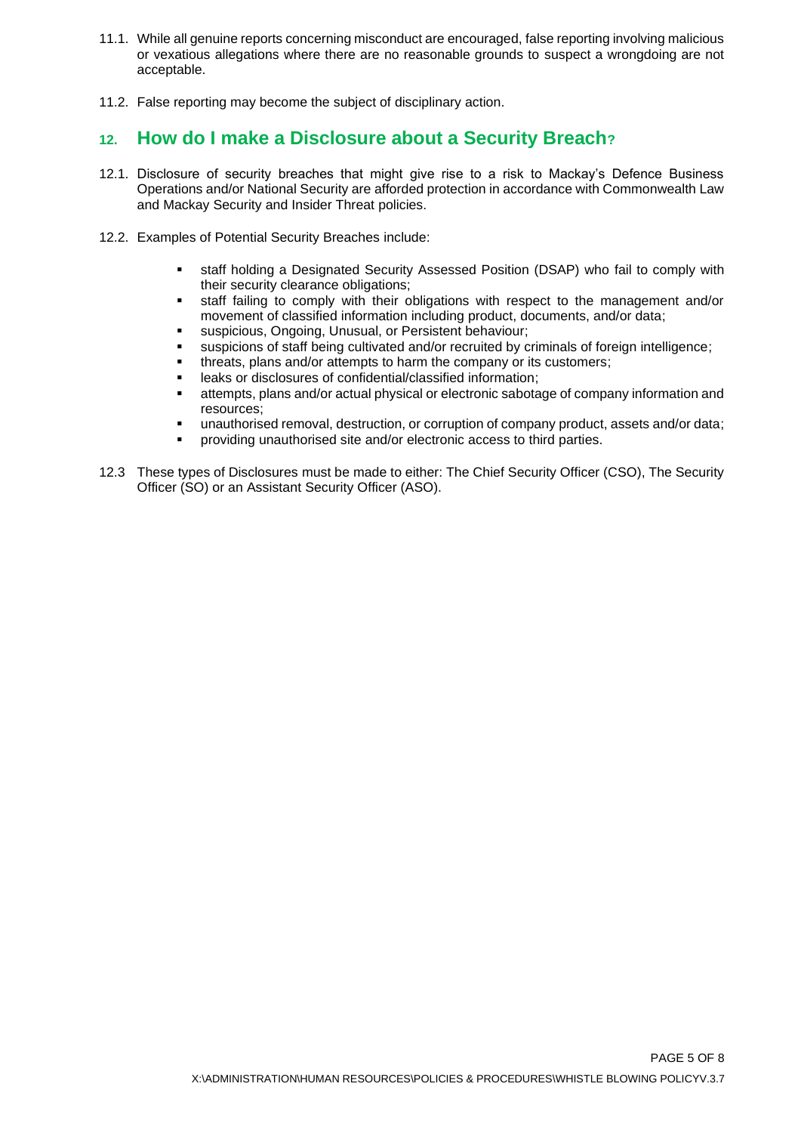- 11.1. While all genuine reports concerning misconduct are encouraged, false reporting involving malicious or vexatious allegations where there are no reasonable grounds to suspect a wrongdoing are not acceptable.
- 11.2. False reporting may become the subject of disciplinary action.

### **12. How do I make a Disclosure about a Security Breach?**

- 12.1. Disclosure of security breaches that might give rise to a risk to Mackay's Defence Business Operations and/or National Security are afforded protection in accordance with Commonwealth Law and Mackay Security and Insider Threat policies.
- 12.2. Examples of Potential Security Breaches include:
	- staff holding a Designated Security Assessed Position (DSAP) who fail to comply with their security clearance obligations;
	- staff failing to comply with their obligations with respect to the management and/or movement of classified information including product, documents, and/or data;
	- suspicious, Ongoing, Unusual, or Persistent behaviour;
	- suspicions of staff being cultivated and/or recruited by criminals of foreign intelligence;
	- threats, plans and/or attempts to harm the company or its customers:
	- leaks or disclosures of confidential/classified information;
	- **■** attempts, plans and/or actual physical or electronic sabotage of company information and resources;
	- unauthorised removal, destruction, or corruption of company product, assets and/or data;
	- providing unauthorised site and/or electronic access to third parties.
- 12.3 These types of Disclosures must be made to either: The Chief Security Officer (CSO), The Security Officer (SO) or an Assistant Security Officer (ASO).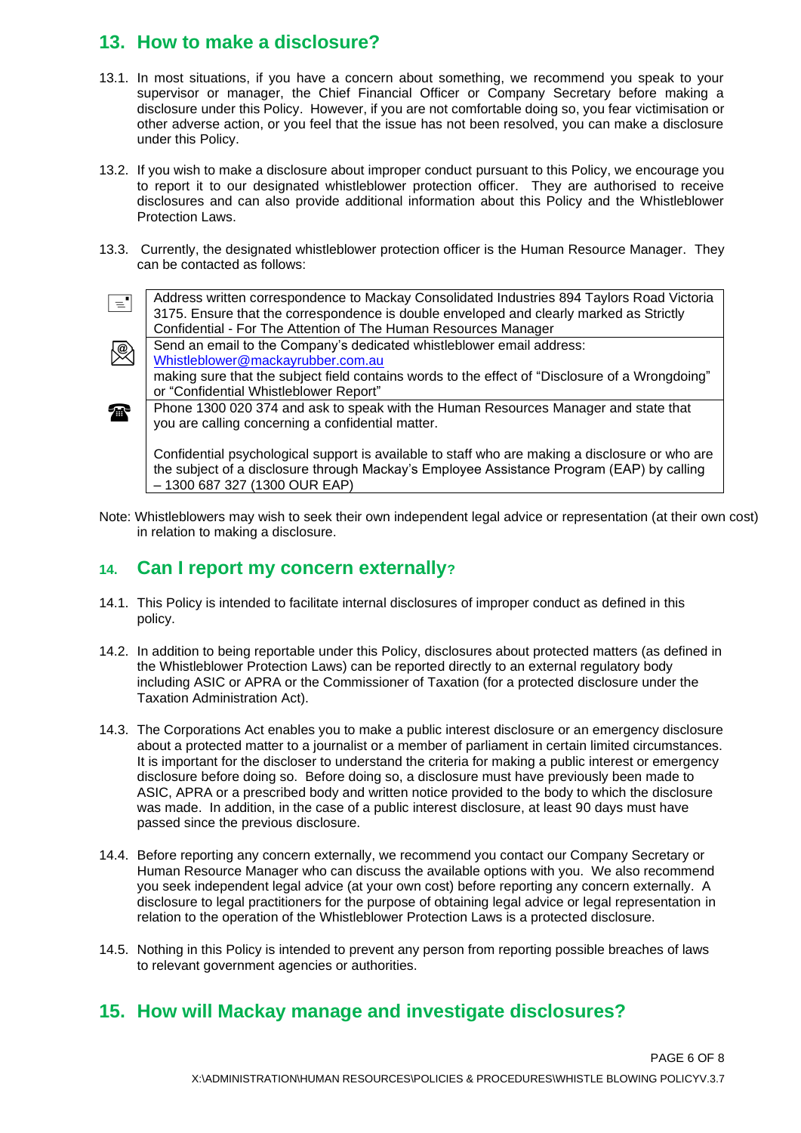# **13. How to make a disclosure?**

\@)

- 13.1. In most situations, if you have a concern about something, we recommend you speak to your supervisor or manager, the Chief Financial Officer or Company Secretary before making a disclosure under this Policy. However, if you are not comfortable doing so, you fear victimisation or other adverse action, or you feel that the issue has not been resolved, you can make a disclosure under this Policy.
- 13.2. If you wish to make a disclosure about improper conduct pursuant to this Policy, we encourage you to report it to our designated whistleblower protection officer. They are authorised to receive disclosures and can also provide additional information about this Policy and the Whistleblower Protection Laws.
- 13.3. Currently, the designated whistleblower protection officer is the Human Resource Manager. They can be contacted as follows:



or "Confidential Whistleblower Report"

**Phone [1300 020 374](https://www.google.com/search?q=mackay+rubber&oq=MACKAY+RUBBER&aqs=chrome.0.0i355i457j46i175i199j0l2j0i395l3j46i175i199i395.2580j1j15&sourceid=chrome&ie=UTF-8) and ask to speak with the Human Resources Manager and state that** you are calling concerning a confidential matter.

Confidential psychological support is available to staff who are making a disclosure or who are the subject of a disclosure through Mackay's Employee Assistance Program (EAP) by calling – 1300 687 327 (1300 OUR EAP)

Note: Whistleblowers may wish to seek their own independent legal advice or representation (at their own cost) in relation to making a disclosure.

#### **14. Can I report my concern externally?**

- 14.1. This Policy is intended to facilitate internal disclosures of improper conduct as defined in this policy.
- 14.2. In addition to being reportable under this Policy, disclosures about protected matters (as defined in the Whistleblower Protection Laws) can be reported directly to an external regulatory body including ASIC or APRA or the Commissioner of Taxation (for a protected disclosure under the Taxation Administration Act).
- 14.3. The Corporations Act enables you to make a public interest disclosure or an emergency disclosure about a protected matter to a journalist or a member of parliament in certain limited circumstances. It is important for the discloser to understand the criteria for making a public interest or emergency disclosure before doing so. Before doing so, a disclosure must have previously been made to ASIC, APRA or a prescribed body and written notice provided to the body to which the disclosure was made. In addition, in the case of a public interest disclosure, at least 90 days must have passed since the previous disclosure.
- 14.4. Before reporting any concern externally, we recommend you contact our Company Secretary or Human Resource Manager who can discuss the available options with you. We also recommend you seek independent legal advice (at your own cost) before reporting any concern externally. A disclosure to legal practitioners for the purpose of obtaining legal advice or legal representation in relation to the operation of the Whistleblower Protection Laws is a protected disclosure.
- 14.5. Nothing in this Policy is intended to prevent any person from reporting possible breaches of laws to relevant government agencies or authorities.

# **15. How will Mackay manage and investigate disclosures?**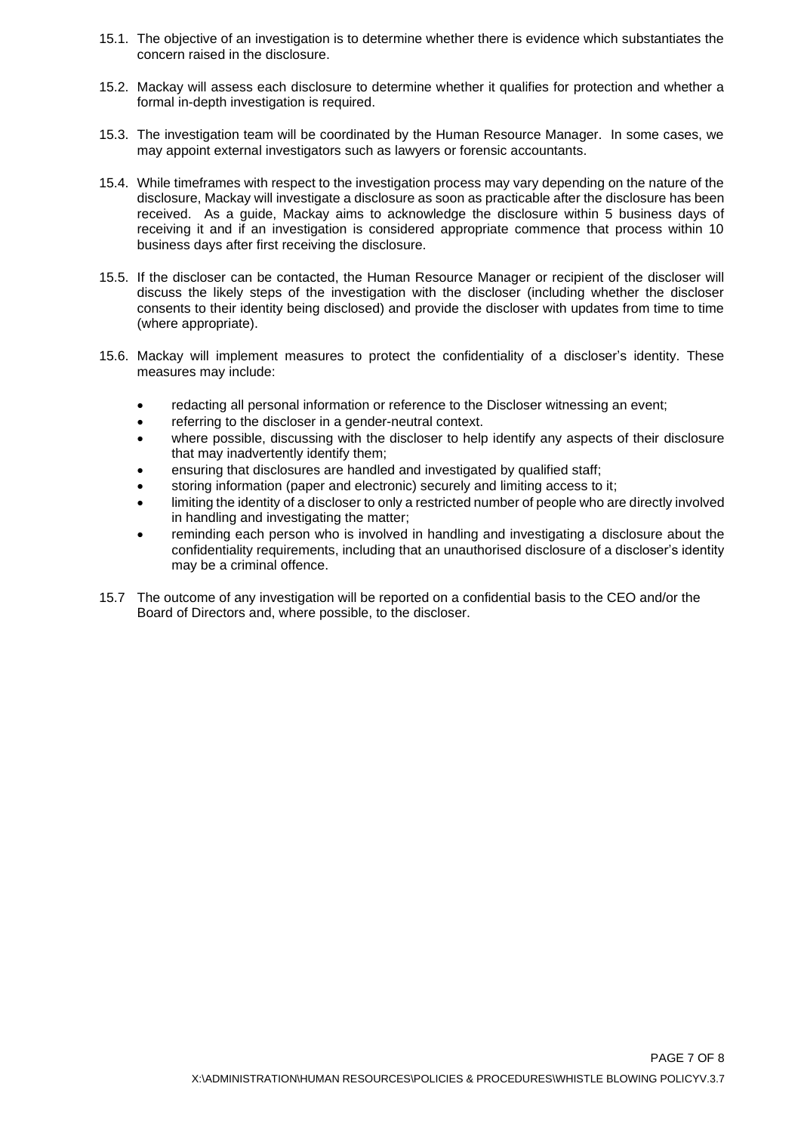- 15.1. The objective of an investigation is to determine whether there is evidence which substantiates the concern raised in the disclosure.
- 15.2. Mackay will assess each disclosure to determine whether it qualifies for protection and whether a formal in-depth investigation is required.
- 15.3. The investigation team will be coordinated by the Human Resource Manager. In some cases, we may appoint external investigators such as lawyers or forensic accountants.
- 15.4. While timeframes with respect to the investigation process may vary depending on the nature of the disclosure, Mackay will investigate a disclosure as soon as practicable after the disclosure has been received. As a guide, Mackay aims to acknowledge the disclosure within 5 business days of receiving it and if an investigation is considered appropriate commence that process within 10 business days after first receiving the disclosure.
- 15.5. If the discloser can be contacted, the Human Resource Manager or recipient of the discloser will discuss the likely steps of the investigation with the discloser (including whether the discloser consents to their identity being disclosed) and provide the discloser with updates from time to time (where appropriate).
- 15.6. Mackay will implement measures to protect the confidentiality of a discloser's identity. These measures may include:
	- redacting all personal information or reference to the Discloser witnessing an event;
	- referring to the discloser in a gender-neutral context.
	- where possible, discussing with the discloser to help identify any aspects of their disclosure that may inadvertently identify them;
	- ensuring that disclosures are handled and investigated by qualified staff;
	- storing information (paper and electronic) securely and limiting access to it;
	- limiting the identity of a discloser to only a restricted number of people who are directly involved in handling and investigating the matter;
	- reminding each person who is involved in handling and investigating a disclosure about the confidentiality requirements, including that an unauthorised disclosure of a discloser's identity may be a criminal offence.
- 15.7 The outcome of any investigation will be reported on a confidential basis to the CEO and/or the Board of Directors and, where possible, to the discloser.